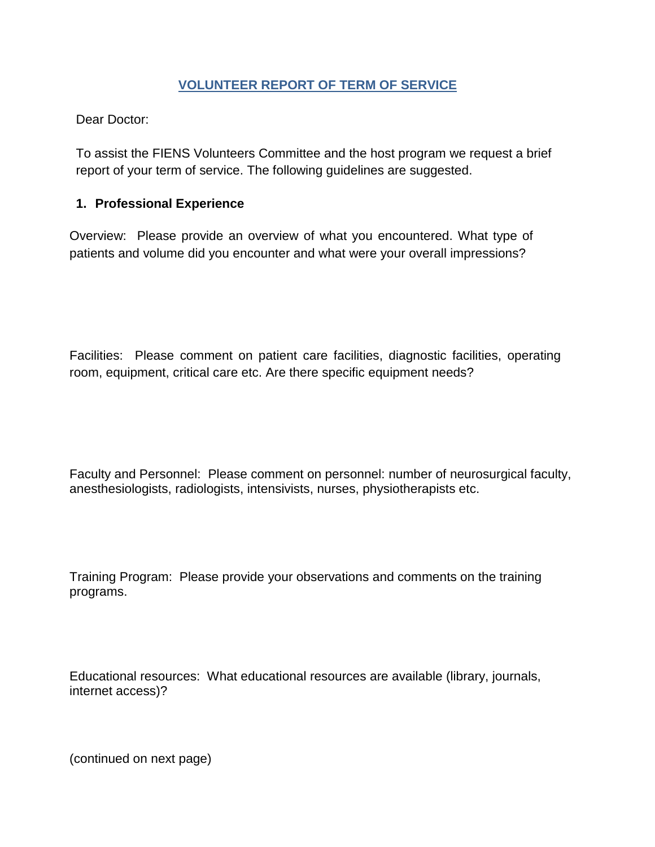# <span id="page-0-0"></span>**[VOLUNTEER REPORT OF TERM OF](#page-0-0) SERVICE**

[Dear Doctor:](#page-0-0)

[To assist the FIENS Volunteers Committee and the host program we request a brief](#page-0-0)  [report of your term of service. The following guidelines are suggested.](#page-0-0)

# **1. [Professional](#page-0-0) Experience**

[Overview: Please provide an overview of what you encountered. What type of](#page-0-0)  [patients and volume did you encounter and what were your overall impressions?](#page-0-0)

[Facilities: Please comment on patient care facilities, diagnostic facilities, operating](#page-0-0)  [room, equipment, critical care etc. Are there specific equipment needs?](#page-0-0)

[Faculty and Personnel: Please comment on personnel: number of neurosurgical faculty,](#page-0-0)  [anesthesiologists, radiologists, intensivists, nurses, physiotherapists etc.](#page-0-0)

[Training Program: Please provide your observations and comments on the training](#page-0-0)  [programs.](#page-0-0)

[Educational resources: What educational resources are available \(library, journals,](#page-0-0)  [internet access\)?](#page-0-0)

(continued on next page)